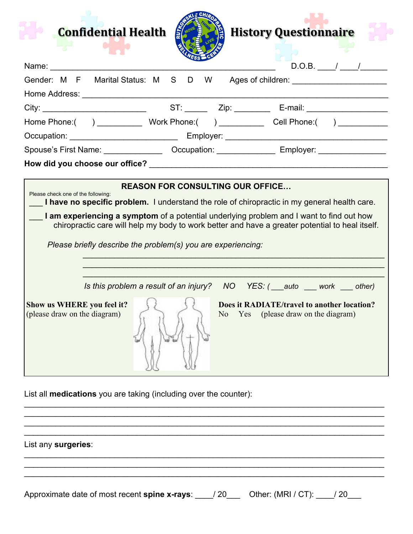| <b>Confidential Health</b>                                                                                                                                                                                                                                                                                                                                                                        |                                         |                                                                                                                                                                                                                                       | <b>History Questionnaire</b>                                                                                                                     |  |
|---------------------------------------------------------------------------------------------------------------------------------------------------------------------------------------------------------------------------------------------------------------------------------------------------------------------------------------------------------------------------------------------------|-----------------------------------------|---------------------------------------------------------------------------------------------------------------------------------------------------------------------------------------------------------------------------------------|--------------------------------------------------------------------------------------------------------------------------------------------------|--|
| Name: Name                                                                                                                                                                                                                                                                                                                                                                                        |                                         |                                                                                                                                                                                                                                       |                                                                                                                                                  |  |
| Gender: M F Marital Status: M S D W                                                                                                                                                                                                                                                                                                                                                               |                                         |                                                                                                                                                                                                                                       | Ages of children: __________________________                                                                                                     |  |
|                                                                                                                                                                                                                                                                                                                                                                                                   |                                         |                                                                                                                                                                                                                                       |                                                                                                                                                  |  |
|                                                                                                                                                                                                                                                                                                                                                                                                   |                                         |                                                                                                                                                                                                                                       |                                                                                                                                                  |  |
| Home Phone:( ) ____________ Work Phone:( ) __________ Cell Phone:( ) ___________                                                                                                                                                                                                                                                                                                                  |                                         |                                                                                                                                                                                                                                       |                                                                                                                                                  |  |
|                                                                                                                                                                                                                                                                                                                                                                                                   |                                         |                                                                                                                                                                                                                                       |                                                                                                                                                  |  |
|                                                                                                                                                                                                                                                                                                                                                                                                   |                                         |                                                                                                                                                                                                                                       |                                                                                                                                                  |  |
|                                                                                                                                                                                                                                                                                                                                                                                                   |                                         |                                                                                                                                                                                                                                       |                                                                                                                                                  |  |
| Please check one of the following:<br>I have no specific problem. I understand the role of chiropractic in my general health care.<br>I am experiencing a symptom of a potential underlying problem and I want to find out how<br>chiropractic care will help my body to work better and have a greater potential to heal itself.<br>Please briefly describe the problem(s) you are experiencing: | <b>REASON FOR CONSULTING OUR OFFICE</b> |                                                                                                                                                                                                                                       |                                                                                                                                                  |  |
| Show us WHERE you feel it?<br>(please draw on the diagram)                                                                                                                                                                                                                                                                                                                                        |                                         | No represents the New York of the New York of New York of New York of New York of New York of New York of New York of New York of New York of New York of New York of New York of New York of New York of New York of New York<br>Yes | Is this problem a result of an injury? NO YES: ( auto work other)<br>Does it RADIATE/travel to another location?<br>(please draw on the diagram) |  |

List all **medications** you are taking (including over the counter):

List any **surgeries**:

Approximate date of most recent **spine x-rays**: \_\_\_\_/ 20\_\_\_ Other: (MRI / CT): \_\_\_\_/ 20\_\_\_

\_\_\_\_\_\_\_\_\_\_\_\_\_\_\_\_\_\_\_\_\_\_\_\_\_\_\_\_\_\_\_\_\_\_\_\_\_\_\_\_\_\_\_\_\_\_\_\_\_\_\_\_\_\_\_\_\_\_\_\_\_\_\_\_\_\_\_\_\_\_\_\_\_\_\_\_\_\_\_\_

\_\_\_\_\_\_\_\_\_\_\_\_\_\_\_\_\_\_\_\_\_\_\_\_\_\_\_\_\_\_\_\_\_\_\_\_\_\_\_\_\_\_\_\_\_\_\_\_\_\_\_\_\_\_\_\_\_\_\_\_\_\_\_\_\_\_\_\_\_\_\_\_\_\_\_\_\_\_\_\_

\_\_\_\_\_\_\_\_\_\_\_\_\_\_\_\_\_\_\_\_\_\_\_\_\_\_\_\_\_\_\_\_\_\_\_\_\_\_\_\_\_\_\_\_\_\_\_\_\_\_\_\_\_\_\_\_\_\_\_\_\_\_\_\_\_\_\_\_\_\_\_\_\_\_\_\_\_\_\_\_ \_\_\_\_\_\_\_\_\_\_\_\_\_\_\_\_\_\_\_\_\_\_\_\_\_\_\_\_\_\_\_\_\_\_\_\_\_\_\_\_\_\_\_\_\_\_\_\_\_\_\_\_\_\_\_\_\_\_\_\_\_\_\_\_\_\_\_\_\_\_\_\_\_\_\_\_\_\_\_\_

\_\_\_\_\_\_\_\_\_\_\_\_\_\_\_\_\_\_\_\_\_\_\_\_\_\_\_\_\_\_\_\_\_\_\_\_\_\_\_\_\_\_\_\_\_\_\_\_\_\_\_\_\_\_\_\_\_\_\_\_\_\_\_\_\_\_\_\_\_\_\_\_\_\_\_\_\_\_\_\_